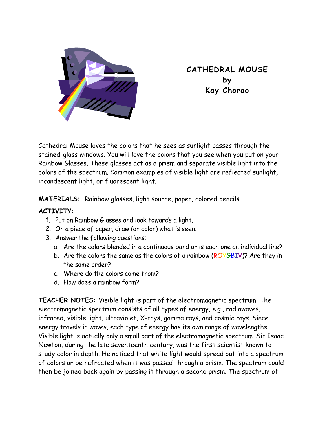

**CATHEDRAL MOUSE by Kay Chorao** 

Cathedral Mouse loves the colors that he sees as sunlight passes through the stained-glass windows. You will love the colors that you see when you put on your Rainbow Glasses. These glasses act as a prism and separate visible light into the colors of the spectrum. Common examples of visible light are reflected sunlight, incandescent light, or fluorescent light.

**MATERIALS:** Rainbow glasses, light source, paper, colored pencils

## **ACTIVITY:**

- 1. Put on Rainbow Glasses and look towards a light.
- 2. On a piece of paper, draw (or color) what is seen.
- 3. Answer the following questions:
	- a. Are the colors blended in a continuous band or is each one an individual line?
	- b. Are the colors the same as the colors of a rainbow (ROYGBIV)? Are they in the same order?
	- c. Where do the colors come from?
	- d. How does a rainbow form?

**TEACHER NOTES:** Visible light is part of the electromagnetic spectrum. The electromagnetic spectrum consists of all types of energy, e.g., radiowaves, infrared, visible light, ultraviolet, X-rays, gamma rays, and cosmic rays. Since energy travels in waves, each type of energy has its own range of wavelengths. Visible light is actually only a small part of the electromagnetic spectrum. Sir Isaac Newton, during the late seventeenth century, was the first scientist known to study color in depth. He noticed that white light would spread out into a spectrum of colors or be refracted when it was passed through a prism. The spectrum could then be joined back again by passing it through a second prism. The spectrum of